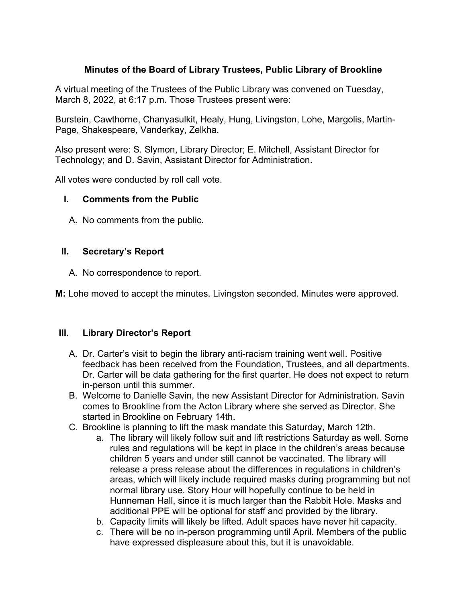# **Minutes of the Board of Library Trustees, Public Library of Brookline**

A virtual meeting of the Trustees of the Public Library was convened on Tuesday, March 8, 2022, at 6:17 p.m. Those Trustees present were:

Burstein, Cawthorne, Chanyasulkit, Healy, Hung, Livingston, Lohe, Margolis, Martin-Page, Shakespeare, Vanderkay, Zelkha.

Also present were: S. Slymon, Library Director; E. Mitchell, Assistant Director for Technology; and D. Savin, Assistant Director for Administration.

All votes were conducted by roll call vote.

### **I. Comments from the Public**

A. No comments from the public.

### **II. Secretary's Report**

A. No correspondence to report.

**M:** Lohe moved to accept the minutes. Livingston seconded. Minutes were approved.

### **III. Library Director's Report**

- A. Dr. Carter's visit to begin the library anti-racism training went well. Positive feedback has been received from the Foundation, Trustees, and all departments. Dr. Carter will be data gathering for the first quarter. He does not expect to return in-person until this summer.
- B. Welcome to Danielle Savin, the new Assistant Director for Administration. Savin comes to Brookline from the Acton Library where she served as Director. She started in Brookline on February 14th.
- C. Brookline is planning to lift the mask mandate this Saturday, March 12th.
	- a. The library will likely follow suit and lift restrictions Saturday as well. Some rules and regulations will be kept in place in the children's areas because children 5 years and under still cannot be vaccinated. The library will release a press release about the differences in regulations in children's areas, which will likely include required masks during programming but not normal library use. Story Hour will hopefully continue to be held in Hunneman Hall, since it is much larger than the Rabbit Hole. Masks and additional PPE will be optional for staff and provided by the library.
	- b. Capacity limits will likely be lifted. Adult spaces have never hit capacity.
	- c. There will be no in-person programming until April. Members of the public have expressed displeasure about this, but it is unavoidable.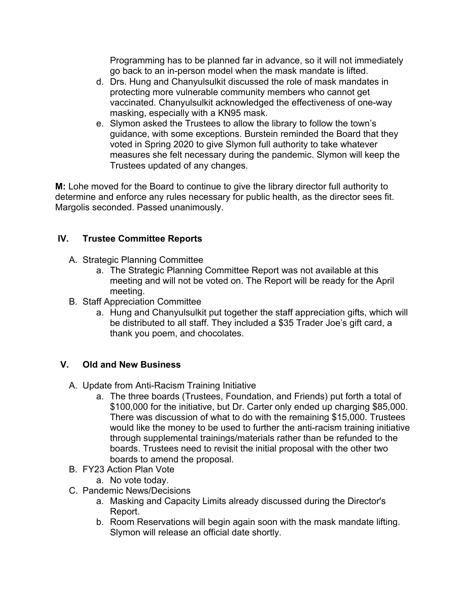Programming has to be planned far in advance, so it will not immediately go back to an in-person model when the mask mandate is lifted.

- d. Drs. Hung and Chanyulsulkit discussed the role of mask mandates in protecting more vulnerable community members who cannot get vaccinated. Chanyulsulkit acknowledged the effectiveness of one-way masking, especially with a KN95 mask.
- e. Slymon asked the Trustees to allow the library to follow the town's guidance, with some exceptions. Burstein reminded the Board that they voted in Spring 2020 to give Slymon full authority to take whatever measures she felt necessary during the pandemic. Slymon will keep the Trustees updated of any changes.

**M:** Lohe moved for the Board to continue to give the library director full authority to determine and enforce any rules necessary for public health, as the director sees fit. Margolis seconded. Passed unanimously.

# **IV. Trustee Committee Reports**

- A. Strategic Planning Committee
	- a. The Strategic Planning Committee Report was not available at this meeting and will not be voted on. The Report will be ready for the April meeting.
- B. Staff Appreciation Committee
	- a. Hung and Chanyulsulkit put together the staff appreciation gifts, which will be distributed to all staff. They included a \$35 Trader Joe's gift card, a thank you poem, and chocolates.

# **V. Old and New Business**

- A. Update from Anti-Racism Training Initiative
	- a. The three boards (Trustees, Foundation, and Friends) put forth a total of \$100,000 for the initiative, but Dr. Carter only ended up charging \$85,000. There was discussion of what to do with the remaining \$15,000. Trustees would like the money to be used to further the anti-racism training initiative through supplemental trainings/materials rather than be refunded to the boards. Trustees need to revisit the initial proposal with the other two boards to amend the proposal.
- B. FY23 Action Plan Vote
	- a. No vote today.
- C. Pandemic News/Decisions
	- a. Masking and Capacity Limits already discussed during the Director's Report.
	- b. Room Reservations will begin again soon with the mask mandate lifting. Slymon will release an official date shortly.